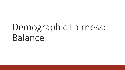# Demographic Fairness: Balance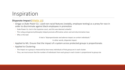### Inspiration

#### **Disparate Impact** [\[FFMSV 15](https://arxiv.org/abs/1412.3756)]

- *Griggs vs Duke Power Co.:* used non-racial features (notably, employee testing) as a proxy for race in order to discriminate against black employees in promotion
	- Duke Power Co. lost in the Supreme court, and this was deemed unlawful
	- This ruling and general philosophy helped promote affirmative action and anti-discrimination laws
	- Why is this bad:

*It had a "disproportionate and adverse impact on certain individuals."*

In other words, disparate impact.

- Applied to ML: Ensure that the impact of a system across protected groups is proportionate.
- Applied to Clustering:
	- The impact on a group is measured by how many individuals of that group are in each cluster.
	- Thus, we must ensure that the number of individuals from each group in each cluster is proportional to group size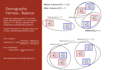### Demographic Fairness - Balance

space. We pick centers  $S \subseteq \mathcal{C}$  and create a map  $\varphi$ :  $\mathcal{C} \to S$ . We also represent the clustering as a partitioning of points *S.*

Assume the points in C are given colors *red* or *blue*, representing protected classes.

For a cluster  $C$  :  $balance(C) = min$ # $red(C)$ # $blue(C)$ # $blue(C)$ # $red(C)$ For a clustering  $S$ :  $balance(S) = \min_{C \in S} balance(C)$ 

We want balance to be high (close to 1).

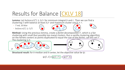## Results for Balance [\[CKLV 18\]](https://arxiv.org/abs/1802.05733)

**Lemma:** Let  $balance(C) \ge b/r$  for minimum integral b and r. Then we can find a clustering S with balance at least  $b/r$  and maximum cluster size  $b + r$ .

- *7 red, 10 blue*
- $\circ$  balance(C)  $\geq$  3/5







Method: Using the previous lemma, create a *fairlet decomposition Y*, which is a fair clustering with small (but possibly too many) clusters. Run a vanilla clustering algorithm on the fairlets centers as points duplicated to equal the size of the *fairlet*, call this set  $Y'$ .<br>The clustering is S.





**Structural result:** for *k*-median and *k*-center, let the objective value be ψ:

$$
\psi(\mathcal{C}, S) = \overline{\psi(\mathcal{C}, Y)} + \overline{\psi(Y', S)}
$$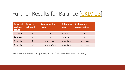### Further Results for Balance [\[CKLV 18](https://arxiv.org/abs/1802.05733)]

| <b>Balanced</b><br>problem<br>solved | <b>Balance</b><br>achieved | <b>Approximation</b><br>factor | <b>Subroutine</b><br>used | Soubroutine<br>approximation |
|--------------------------------------|----------------------------|--------------------------------|---------------------------|------------------------------|
| 1-center                             |                            | $\overline{3}$                 | 1-center                  | $\mathcal{P}$                |
| $k$ -center                          | 1/t'                       | $\overline{4}$                 | $k$ -center               | $\mathcal{P}$                |
| $k$ -median                          | $\mathbf{1}$               | $2 + \sqrt{3} + \epsilon$      | k-median                  | $1+\sqrt{3}+\epsilon$        |
| $k$ -median                          | 1/t'                       | $t' + 1 + \sqrt{3} + \epsilon$ | k-median                  | $1 + \sqrt{3} + \epsilon$    |

Hardness: it is NP-hard to optimally find a  $1/t'$ -balanced *k*-median clustering.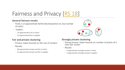## Fairness and Privacy [\[RS 18\]](https://arxiv.org/pdf/1802.02497.pdf)

#### **General fairness results**

- Finds a 12-approximate fairlet decomposition on *any* number of colors
- Implies:
	- 14-approximation for *k*-center
	- 15-approximationfor *k*-supplier

#### **Fair and private clustering**

- Privacy: lower bounds on the size of clusters
- Results:
	- 40-approximate private and fair *k*-center
	- 41-approximate private and fair *k*-supplier

#### **Strongly private clustering**

- Strong privacy: lower bounds on number of points of a color per cluster
- Results
	- 4-approximate strongly private *k*-center
	- 5-approximate strongly private *k*-supplier

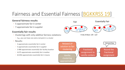### Fairness and Essential Fairness [\[BGKKRSS 19\]](https://drops.dagstuhl.de/opus/volltexte/2019/11233/pdf/LIPIcs-APPROX-RANDOM-2019-18.pdf)

#### **General fairness results**

- 5-approximate fair *k*-center
- 7-approximate fair *k*-supplier

#### **Essentially fair results**

- Clusterings with only *additive* fairness violations:
	- E.g., you can have one extra red point in a cluster
- Results:
	- 3-approximate essentially fair *k*-center
	- 5-approximate essentially fair *k*-supplier
	- 3.488-approximate essentially fair facility location
	- 4.675-approximate essentially fair *k*-median
	- 62.856-approximate essentially fair *k*-means

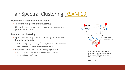### Fair Spectral Clustering [\[KSAM 19](https://arxiv.org/pdf/1901.08668.pdf)]

#### **Definition – Stochastic Block Model**

- There is a fair ground truth clustering
- Generate edges of weight +1 according to color and ground truth cluster

#### **Fair spectral clustering**

- Spectral clustering: create a clustering that minimizes the value of RatioCut
	- $RatioCut(S) = \sum_{C \in S} \frac{\sum_{e \in C \times V \setminus C} w(e)}{|C|}$ , e.g., the sum of the ratios of the weights exiting a cluster to the size of the cluster
- Proposes a new spectral clustering algorithm:
	- Bounds the error relative to the ground truth clustering
	- Uses *O(n3)* time, *O(n2)* space



- Same cluster, different color: prob *c*
- Different cluster, different color: prob *d*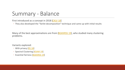### Summary - Balance

First introduced as a concept in 2018 [\[CKLV 18\]](https://arxiv.org/abs/1802.05733)

◦ They also developed the "fairlet decomposition" technique and came up with initial results

Many of the best approximations are from [\[BGKKRSS 19](https://drops.dagstuhl.de/opus/volltexte/2019/11233/pdf/LIPIcs-APPROX-RANDOM-2019-18.pdf)], who studied many clustering problems.

Variants explored:

- With privacy [\[RS 18](https://arxiv.org/pdf/1802.02497.pdf)]
- Spectral Clustering [[KSAM 19](https://arxiv.org/pdf/1901.08668.pdf)]
- Essential fairness [\[BGKKRSS 19](https://drops.dagstuhl.de/opus/volltexte/2019/11233/pdf/LIPIcs-APPROX-RANDOM-2019-18.pdf)]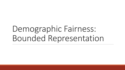# Demographic Fairness: Bounded Representation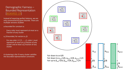#### Demographic Fairness – Bounded Representation [\[BGKKRSS 19\]](https://drops.dagstuhl.de/opus/volltexte/2019/11233/pdf/LIPIcs-APPROX-RANDOM-2019-18.pdf)

Instead of requiring perfect balance, we are only constrained by given bounds. There are multiple versions studied:

α-bounded for constant α:

- Every color must represent *at most* an α fraction of any cluster
- α, β-bounded, for vectors α, β:
- For any color  $i \in \{1, ..., c\}$ , color i must represent *at most* an α<sub>i</sub> fraction of any cluster and *at least* a β<sup>i</sup> fraction of any cluster

A clustering is fair if every cluster satisfies The bounded representation constraint.

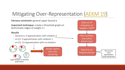### Mitigating Over-Representation [\[AEKM 19](https://arxiv.org/pdf/1905.12753.pdf)]

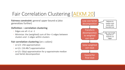### Fair Correlation Clustering [\[AEKM 20\]](https://arxiv.org/pdf/2002.02274.pdf)

**Fairness constraint:** general upper bound α (also generalizes further)

#### **Definition – correlation clustering**

- Edges are all +1 or -1
- Minimize: the (weighted) sum of the +1 edges between clusters and -1 edges within clusters

#### **Fair correlation clustering** (on c colors)

- α=1/2: 256-approximation
- α=1/c: (16.48c2)-approximation
- $\circ$  α=1/t: O(tp)-approximation for *p*-approximate median cost fairlet decomposition

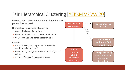### Fair Hierarchical Clustering [\[AEKKMMPVW 20](https://arxiv.org/abs/2006.10221)]

**Fairness constraint:** general upper bound α (also generalizes further)

#### **Hierarchical clustering objectives**

- Cost: initial objective, APX-hard
- Revenue: dual to cost, const-approximable
- Value: cost variant, const-approximable

#### **Results**

- Cost: *O(n5/6log5/4n)*-approximation (highly combinatorial methods)
- Revenue: (*1/3-o(1))*-approximation if α=1/t or 2 colors
- Value: *(2/3-ε)(1-o(1))*-approximation

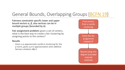### General Bounds, Overlapping Groups [\[BCFN 19](https://papers.nips.cc/paper/2019/file/fc192b0c0d270dbf41870a63a8c76c2f-Paper.pdf)]

**Fairness constraint:** specific lower and upper bound vectors α, β, also vertices can be in *multiple* groups (bounded by Δ)

**Fair assignment problem:** given a set of centers, what is the best way to create a fair clustering by assigning points to the centers?

#### **Results**

◦ Given a ρ-approximate vanilla *k*-clustering for the *p*-norm, gives a ρ+2 approximation with additive fairness violation 4Δ+3

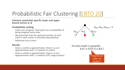## Probabilistic Fair Clustering [\[EBTD 20\]](https://arxiv.org/abs/2006.10916)

**Fairness constraint:** specific lower and upper bound vectors α, β

#### **Probabilistic setting**

- Colors are not given. Each point has a probability of being assigned some color
- We guarantee that the *expected number* of each color in each cluster is bounded above/below
- Addresses any *p*-norm

#### **Results**

- Given a vanilla ρ-approximation, there is a ρ+2- approximation with +1 violation (2 colors)
- Given a vanilla *ρ*-approximation, there is a *ρ*+2-<br>approximation with +1 violation (FPT, large clusters)



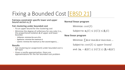## Fixing a Bounded Cost [[EBSD 21\]](https://arxiv.org/abs/2106.07239)

### **Fairness constraint:** specific lower and upper bound vectors α, <sup>β</sup>

#### **Fair clustering under bounded cost**

- Fix an upper bound for the clustering cost
- Minimize the degree of unfairness for any color (i.e., the proportional violation <sup>Δ</sup> of upper and lower bounds)
	- Utilitarian: minimize the sum of Δs
	- Egalitarian: minimize the maximum  $\Delta$
	- Leximin: minimize the maximum Δ, then second largest Δ, …

#### **Results**

- Fair clustering (or assignment) under bounded cost is NP-hard
- Given a vanilla approximation, there are approximations for the fair bounded cost problem

#### **Normal linear program**

Minimize:  $cost(S)$ 

Subject to:  $\alpha_i |C| \leq |i(C)| \leq \beta_i |C|$ 

#### **New linear program**

Minimize:  $\sum \Delta$  or max  $\Delta$  or max max ...

Subject to:  $cost(S) \leq upper$  bound

and:  $(\alpha_i - \Delta) |C| \leq |i(C)| \leq (\beta_i + \Delta) |C|$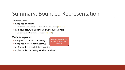### Summary: Bounded Representation

#### **Two versions**:

- α-capped clustering
	- Solved with very little to no additive fairness violation [[AEKM 19](https://arxiv.org/pdf/1905.12753.pdf)]
- α, β-bounded, with upper and lower bound vectors
	- Solved with additive fairness violation [[BCFN 19\]](https://papers.nips.cc/paper/2019/file/fc192b0c0d270dbf41870a63a8c76c2f-Paper.pdf)

#### **Variants explored**:

- α-capped correlation clustering
- α-capped hierarchical clustering
- α, β-bounded probabilistic clustering
- α, β-bounded clustering with bounded cost

However, both are stated in terms of "union closed" constraints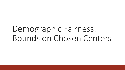## Demographic Fairness: Bounds on Chosen Centers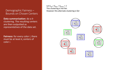Demographic Fairness – Bounds on Chosen Centers

**Data summarization:** do a *k*clustering. The resulting centers are then outputted as *representatives* of the data set.

**Fairness:** for every color *i*, there must be at least  $k_i$  centers of color *i*.

Let  $k_{red} = k_{blue} = k_{green} = 1$ This clustering is not fair. However this alternate clustering is fair

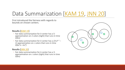### Data Summarization [\[KAM 19,](https://arxiv.org/pdf/1901.08628.pdf) [JNN 20](http://proceedings.mlr.press/v119/jones20a/jones20a.pdf)]

First introduced the fairness with regards to bounds on chosen centers.

#### **Results [**[KAM 19\]](https://arxiv.org/pdf/1901.08628.pdf)

- Fair data summarization for *k*-center has a 5- approximation on 2 colors (tight) that runs in time *O(kn)*
- Fair data summarization for *k*-center has a *(3×2c-1 – 1)* approximation on *<sup>c</sup>* colors that runs in time *O(kc2n + kc4)*

#### **Results [**[JNN 20\]](http://proceedings.mlr.press/v119/jones20a/jones20a.pdf)

◦ Fair data summarization for *k*-center has a 3- approximation on *<sup>c</sup>* colors (tight) that runs in time *O(kn)*

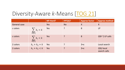### Diversity-Aware *k*-Means [\[TOG 21\]](https://arxiv.org/pdf/2106.11696.pdf)

|                     |                            | NP-Hard? | FPT(k)?   | <b>Approx factor</b> | <b>Approx method</b>         |
|---------------------|----------------------------|----------|-----------|----------------------|------------------------------|
| <b>General case</b> |                            | Yes      | <b>No</b> | $\mathsf{X}$         | $\sf X$                      |
| c colors            | $\sum_{i \in [c]} k_i = k$ | Yes      | ?         | 8                    | <b>LP</b>                    |
| c colors            | $\sum_{i \in [c]} k_i < k$ | Yes      | ?         | 8                    | $O(k^{c-1})$ LP calls        |
| 2 colors            | $k_1 + k_2 = k$            | Yes      | ?         | $3 + \epsilon$       | Local search                 |
| 2 colors            | $k_1 + k_2 < k$            | Yes      | ?         | $3 + \epsilon$       | $O(k)$ local<br>search calls |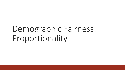# Demographic Fairness: Proportionality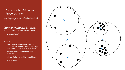#### Demographic Fairness – Proportionality

Idea: Every set of at least *n/k* points is entitled to its own cluster.

**Blocking coalition:** a set of ρ*n/k* points such that we can add a center that is closer to all points in the set than their assigned center.

• "ρ-proportional"

#### **Benefits**

- Pareto optimality: Let *X* and *X'* be two proportional solutions. Then there is some point that *X* "treats" at least as well as *X'*.
- Oblivious: Independent of sensitive attributes.
- Robust: Outliers cannot form coalitions.
- Scale invariant

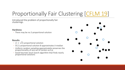## Proportionally Fair Clustering [[CFLM 19](http://proceedings.mlr.press/v97/chen19d.html)]

Introduced the problem of proportionally fair clusterings.

#### **Hardness**

◦ There may be no 2-proportional solution

#### **Results**

- $\sqrt{2}$ -proportional solution
- (1)-proportional solution 8-approximates *k*-median
- Uniform random sampling approximately preserves the proportionality of any set of centers w.h.p.
- Good heuristic local search algorithm that finds nearly proportional solutions

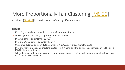### More Proportionally Fair Clustering [\[MS 20](https://drops.dagstuhl.de/opus/volltexte/2020/12492/pdf/LIPIcs-ICALP-2020-85.pdf)]

Considers [\[CFLM 19\]](http://proceedings.mlr.press/v97/chen19d.html) in metric spaces defined by different norms.

#### **Results**

- $\sqrt{2}$  general approximation is really a 2-approximation for L<sup>2</sup>
- Shows tightness of  $(1 + \sqrt{2})$  approximation for L<sup>1</sup> and L<sup>∞</sup>
- In L<sup>2</sup>, we cannot do better than  $2/\sqrt{3}$
- ∘ In L<sup>1</sup> and L<sup>∞</sup>, we cannot do better than 1.4
- Using tree distance or graph distance when  $k \geq n/2$ , exact proportionality exists
- $\circ$  In L<sup>2</sup> and many dimensions, checking existence is NP-hard, and the original algorithm is only in NP (it is a PTAS in the dimensionality)
- When there are infinitely many centers, proportionality preservation under random sampling holds even in  $L^2$  and many dimensions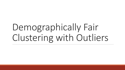# Demographically Fair Clustering with Outliers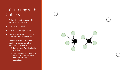### k-Clustering with **Outliers**

- $\triangleright$  Points C in metric space with distance  $d: \mathcal{C}^2 \to \mathbb{R}_{\geq 0}$
- Pick  $S \subseteq C$  with  $|S| \leq k$
- Pick  $A \subseteq C$  with  $|A| \ge m$
- $\triangleright$  Construct  $\varphi$ :  $\mathcal{A} \to S$  such that some objective is minimized
- $\triangleright$  Allowed to exclude a certain number of points from the optimization objective:
	- Robustness: Avoid noise in the data
	- ❖ Scarce resources: Servicing only a certain fraction of the population is acceptable

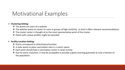### Motivational Examples

#### **Clustering Setting:**

- $\clubsuit$  The points are users of a website.
- $\clubsuit$  The website wants to cluster its users in groups of high similarity, so that it offers relevant recommendations.
- The cluster center is thought of as the most representative point of the cluster.
- ❖ Points with unique profiles might be excluded.

#### **Facility Location Setting:**

- Points correspond to cities/towns/counties.
- ❖ A state wants to place vaccination sites in a metric space.
- Each point should have a vaccination center in close vicinity.
- Due to scarce resources, it may be acceptable to provide a good covering guarantee to only a fraction of the population.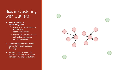### Bias in Clustering with Outliers

- **Being an outlier is disadvantageous!!!**
	- $\triangleright$  Example 1: Outliers will not receive any recommendations
	- $\triangleright$  Example 2: Outliers will not enjoy close access to a vaccination center
- $\triangleright$  Suppose the points of C come from  $\gamma$  demographic groups  $\mathcal{C}_1, ..., \mathcal{C}_{\gamma}.$
- $\triangleright$  A solution can be biased if it disproportionately views points from certain groups as outliers.

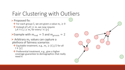## Fair Clustering with Outliers

 $\triangleright$  Proposed fix:

 $\bullet$  For each group  $C_l$  we are given a value  $m_l \geq 0$ 

 $\cdot$  Instead of  $|\mathcal{A}| \geq m$ , we now require  $|\mathcal{A} \cap \mathcal{C}_l| \geq m_l$  for every  $l \in [\gamma]$ 

Example with  $m_{red} = 5$  and  $m_{green} = 2$ 

 $\triangleright$  Arbitrary  $m_l$  values can capture a plethora of fairness scenarios

- ❖ Equitable treatment, e.g.,  $m_l \geq |\mathcal{C}_l|/2$  for all  $l \in [\gamma]$
- ❖ Preferential treatment, e.g., give a higher coverage guarantee to demographics that really need it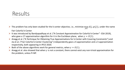### Results

- Fine problem has only been studied for the k-center objective, i.e., minimize  $\max_{j\in\mathcal{C}}d(j,\varphi(j))$ , under the name Fair Colorful k-Center
- It was introduced by Bandyapadhyay et al. ("A Constant Approximation for Colorful k-Center" ESA 2019), who gave a 17-approximation algorithm for it in the Euclidean plane, when  $\gamma = O(1)$ .
- $\triangleright$  Anegg et al. ("A Technique for Obtaining True Approximations for k-Center with Covering Constraints") and Jia et al. ("Fair Colorful k-Center Clustering") independently gave a 4-approximation and a 3-approximation respectively, both appearing in IPCO 2020.
- $\triangleright$  Both of the above algorithms work for general metrics, when  $\gamma = O(1)$ .
- Anegg et al. also showed that when  $\gamma$  is not a constant, there cannot exist any non-trivial approximation for the problem, unless P=NP.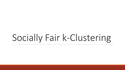# Socially Fair k-Clustering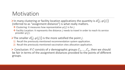### Motivation

- In many clustering or facility location applications the quantity is  $d(j, \varphi(j))$ (referred to as "assignment distance") is what really matters.
	- $\cdot \cdot$  Clustering: It measures how representative  $\varphi(j)$  is for j.
	- $\cdot \cdot$  Facility Location: It represents the distance *j* needs to travel in order to reach its service provider  $\varphi(j)$ .
- The smaller  $d(j, \varphi(j))$  is the more satisfied the point *j*.
	- 1) Recall the previously mentioned recommendation system application.
	- 2) Recall the previously mentioned vaccination sites allocation application.
- $\triangleright$  Conclusion: If C consists of  $\gamma$  demographic groups  $C_1, ..., C_{\gamma}$ , then we should be fair in terms of the assignment distances provided to the points of different groups.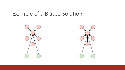### Example of a Biased Solution